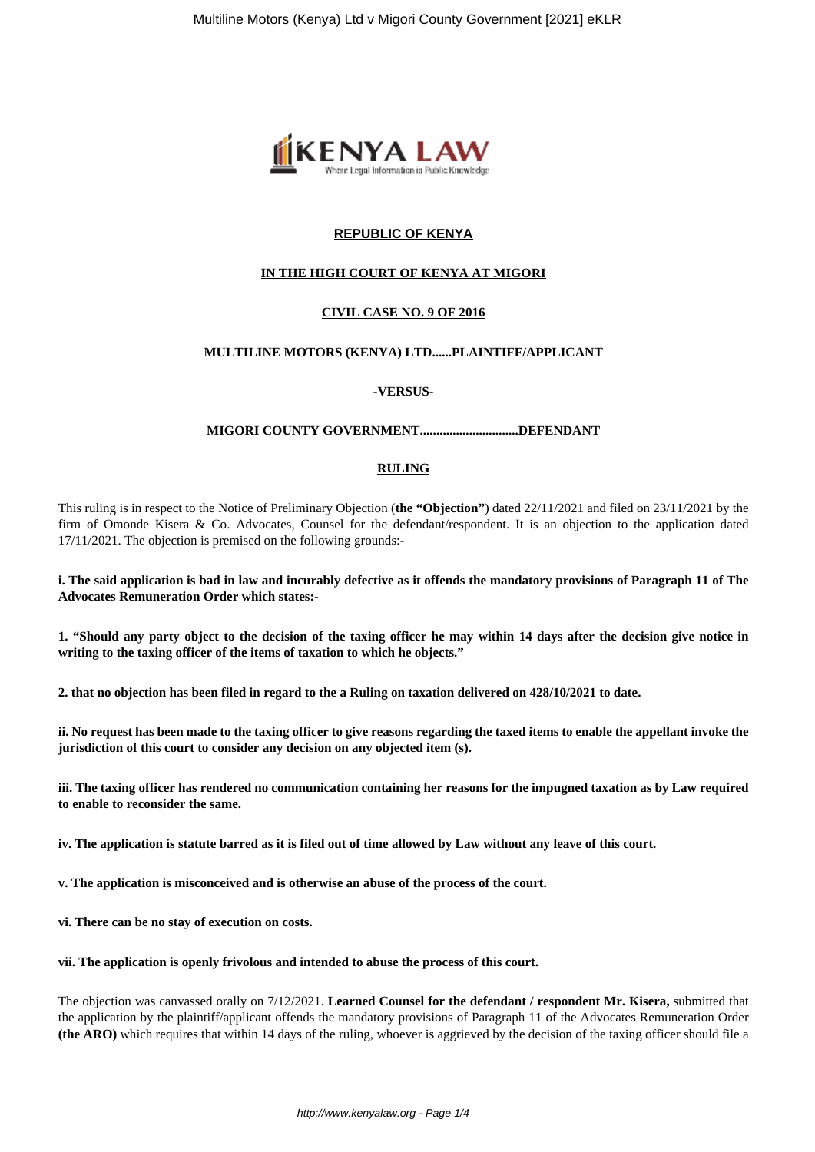

# **REPUBLIC OF KENYA**

## **IN THE HIGH COURT OF KENYA AT MIGORI**

# **CIVIL CASE NO. 9 OF 2016**

## **MULTILINE MOTORS (KENYA) LTD......PLAINTIFF/APPLICANT**

### **-VERSUS-**

### **MIGORI COUNTY GOVERNMENT..............................DEFENDANT**

### **RULING**

This ruling is in respect to the Notice of Preliminary Objection (**the "Objection"**) dated 22/11/2021 and filed on 23/11/2021 by the firm of Omonde Kisera & Co. Advocates, Counsel for the defendant/respondent. It is an objection to the application dated 17/11/2021. The objection is premised on the following grounds:-

**i. The said application is bad in law and incurably defective as it offends the mandatory provisions of Paragraph 11 of The Advocates Remuneration Order which states:-**

**1. "Should any party object to the decision of the taxing officer he may within 14 days after the decision give notice in writing to the taxing officer of the items of taxation to which he objects."**

**2. that no objection has been filed in regard to the a Ruling on taxation delivered on 428/10/2021 to date.** 

**ii. No request has been made to the taxing officer to give reasons regarding the taxed items to enable the appellant invoke the jurisdiction of this court to consider any decision on any objected item (s).** 

**iii. The taxing officer has rendered no communication containing her reasons for the impugned taxation as by Law required to enable to reconsider the same.** 

**iv. The application is statute barred as it is filed out of time allowed by Law without any leave of this court.** 

**v. The application is misconceived and is otherwise an abuse of the process of the court.** 

**vi. There can be no stay of execution on costs.** 

**vii. The application is openly frivolous and intended to abuse the process of this court.** 

The objection was canvassed orally on 7/12/2021. **Learned Counsel for the defendant / respondent Mr. Kisera,** submitted that the application by the plaintiff/applicant offends the mandatory provisions of Paragraph 11 of the Advocates Remuneration Order **(the ARO)** which requires that within 14 days of the ruling, whoever is aggrieved by the decision of the taxing officer should file a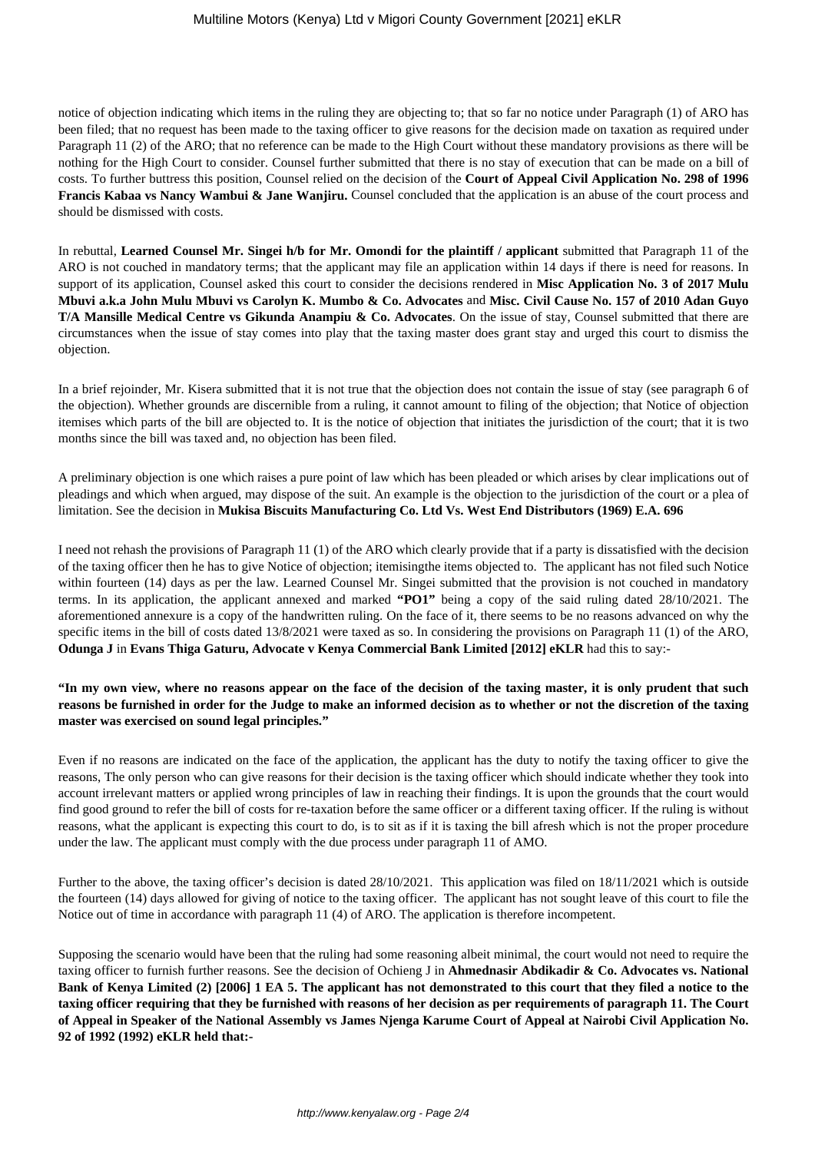notice of objection indicating which items in the ruling they are objecting to; that so far no notice under Paragraph (1) of ARO has been filed; that no request has been made to the taxing officer to give reasons for the decision made on taxation as required under Paragraph 11 (2) of the ARO; that no reference can be made to the High Court without these mandatory provisions as there will be nothing for the High Court to consider. Counsel further submitted that there is no stay of execution that can be made on a bill of costs. To further buttress this position, Counsel relied on the decision of the **Court of Appeal Civil Application No. 298 of 1996 Francis Kabaa vs Nancy Wambui & Jane Wanjiru.** Counsel concluded that the application is an abuse of the court process and should be dismissed with costs.

In rebuttal, **Learned Counsel Mr. Singei h/b for Mr. Omondi for the plaintiff / applicant** submitted that Paragraph 11 of the ARO is not couched in mandatory terms; that the applicant may file an application within 14 days if there is need for reasons. In support of its application, Counsel asked this court to consider the decisions rendered in **Misc Application No. 3 of 2017 Mulu Mbuvi a.k.a John Mulu Mbuvi vs Carolyn K. Mumbo & Co. Advocates** and **Misc. Civil Cause No. 157 of 2010 Adan Guyo T/A Mansille Medical Centre vs Gikunda Anampiu & Co. Advocates**. On the issue of stay, Counsel submitted that there are circumstances when the issue of stay comes into play that the taxing master does grant stay and urged this court to dismiss the objection.

In a brief rejoinder, Mr. Kisera submitted that it is not true that the objection does not contain the issue of stay (see paragraph 6 of the objection). Whether grounds are discernible from a ruling, it cannot amount to filing of the objection; that Notice of objection itemises which parts of the bill are objected to. It is the notice of objection that initiates the jurisdiction of the court; that it is two months since the bill was taxed and, no objection has been filed.

A preliminary objection is one which raises a pure point of law which has been pleaded or which arises by clear implications out of pleadings and which when argued, may dispose of the suit. An example is the objection to the jurisdiction of the court or a plea of limitation. See the decision in **Mukisa Biscuits Manufacturing Co. Ltd Vs. West End Distributors (1969) E.A. 696** 

I need not rehash the provisions of Paragraph 11 (1) of the ARO which clearly provide that if a party is dissatisfied with the decision of the taxing officer then he has to give Notice of objection; itemisingthe items objected to. The applicant has not filed such Notice within fourteen (14) days as per the law. Learned Counsel Mr. Singei submitted that the provision is not couched in mandatory terms. In its application, the applicant annexed and marked **"PO1"** being a copy of the said ruling dated 28/10/2021. The aforementioned annexure is a copy of the handwritten ruling. On the face of it, there seems to be no reasons advanced on why the specific items in the bill of costs dated 13/8/2021 were taxed as so. In considering the provisions on Paragraph 11 (1) of the ARO, **Odunga J** in **Evans Thiga Gaturu, Advocate v Kenya Commercial Bank Limited [2012] eKLR** had this to say:-

**"In my own view, where no reasons appear on the face of the decision of the taxing master, it is only prudent that such reasons be furnished in order for the Judge to make an informed decision as to whether or not the discretion of the taxing master was exercised on sound legal principles."**

Even if no reasons are indicated on the face of the application, the applicant has the duty to notify the taxing officer to give the reasons, The only person who can give reasons for their decision is the taxing officer which should indicate whether they took into account irrelevant matters or applied wrong principles of law in reaching their findings. It is upon the grounds that the court would find good ground to refer the bill of costs for re-taxation before the same officer or a different taxing officer. If the ruling is without reasons, what the applicant is expecting this court to do, is to sit as if it is taxing the bill afresh which is not the proper procedure under the law. The applicant must comply with the due process under paragraph 11 of AMO.

Further to the above, the taxing officer's decision is dated 28/10/2021. This application was filed on 18/11/2021 which is outside the fourteen (14) days allowed for giving of notice to the taxing officer. The applicant has not sought leave of this court to file the Notice out of time in accordance with paragraph 11 (4) of ARO. The application is therefore incompetent.

Supposing the scenario would have been that the ruling had some reasoning albeit minimal, the court would not need to require the taxing officer to furnish further reasons. See the decision of Ochieng J in **Ahmednasir Abdikadir & Co. Advocates vs. National Bank of Kenya Limited (2) [2006] 1 EA 5. The applicant has not demonstrated to this court that they filed a notice to the taxing officer requiring that they be furnished with reasons of her decision as per requirements of paragraph 11. The Court of Appeal in Speaker of the National Assembly vs James Njenga Karume Court of Appeal at Nairobi Civil Application No. 92 of 1992 (1992) eKLR held that:-**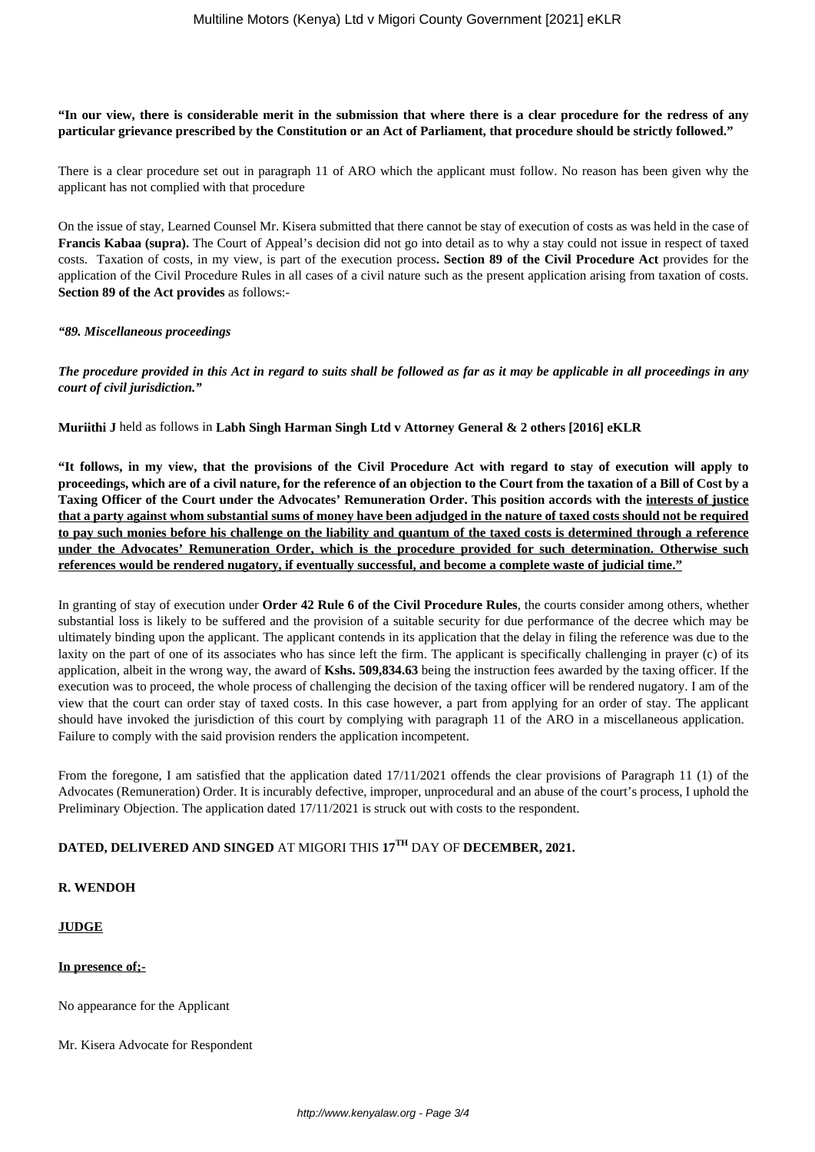### **"In our view, there is considerable merit in the submission that where there is a clear procedure for the redress of any particular grievance prescribed by the Constitution or an Act of Parliament, that procedure should be strictly followed."**

There is a clear procedure set out in paragraph 11 of ARO which the applicant must follow. No reason has been given why the applicant has not complied with that procedure

On the issue of stay, Learned Counsel Mr. Kisera submitted that there cannot be stay of execution of costs as was held in the case of **Francis Kabaa (supra).** The Court of Appeal's decision did not go into detail as to why a stay could not issue in respect of taxed costs. Taxation of costs, in my view, is part of the execution process**. Section 89 of the Civil Procedure Act** provides for the application of the Civil Procedure Rules in all cases of a civil nature such as the present application arising from taxation of costs. **Section 89 of the Act provides** as follows:-

### *"89. Miscellaneous proceedings*

*The procedure provided in this Act in regard to suits shall be followed as far as it may be applicable in all proceedings in any court of civil jurisdiction."*

**Muriithi J** held as follows in **Labh Singh Harman Singh Ltd v Attorney General & 2 others [2016] eKLR** 

**"It follows, in my view, that the provisions of the Civil Procedure Act with regard to stay of execution will apply to proceedings, which are of a civil nature, for the reference of an objection to the Court from the taxation of a Bill of Cost by a Taxing Officer of the Court under the Advocates' Remuneration Order. This position accords with the interests of justice that a party against whom substantial sums of money have been adjudged in the nature of taxed costs should not be required to pay such monies before his challenge on the liability and quantum of the taxed costs is determined through a reference under the Advocates' Remuneration Order, which is the procedure provided for such determination. Otherwise such references would be rendered nugatory, if eventually successful, and become a complete waste of judicial time."**

In granting of stay of execution under **Order 42 Rule 6 of the Civil Procedure Rules**, the courts consider among others, whether substantial loss is likely to be suffered and the provision of a suitable security for due performance of the decree which may be ultimately binding upon the applicant. The applicant contends in its application that the delay in filing the reference was due to the laxity on the part of one of its associates who has since left the firm. The applicant is specifically challenging in prayer (c) of its application, albeit in the wrong way, the award of **Kshs. 509,834.63** being the instruction fees awarded by the taxing officer. If the execution was to proceed, the whole process of challenging the decision of the taxing officer will be rendered nugatory. I am of the view that the court can order stay of taxed costs. In this case however, a part from applying for an order of stay. The applicant should have invoked the jurisdiction of this court by complying with paragraph 11 of the ARO in a miscellaneous application. Failure to comply with the said provision renders the application incompetent.

From the foregone, I am satisfied that the application dated 17/11/2021 offends the clear provisions of Paragraph 11 (1) of the Advocates (Remuneration) Order. It is incurably defective, improper, unprocedural and an abuse of the court's process, I uphold the Preliminary Objection. The application dated 17/11/2021 is struck out with costs to the respondent.

# **DATED, DELIVERED AND SINGED** AT MIGORI THIS **17TH** DAY OF **DECEMBER, 2021.**

#### **R. WENDOH**

# **JUDGE**

#### **In presence of;-**

No appearance for the Applicant

Mr. Kisera Advocate for Respondent